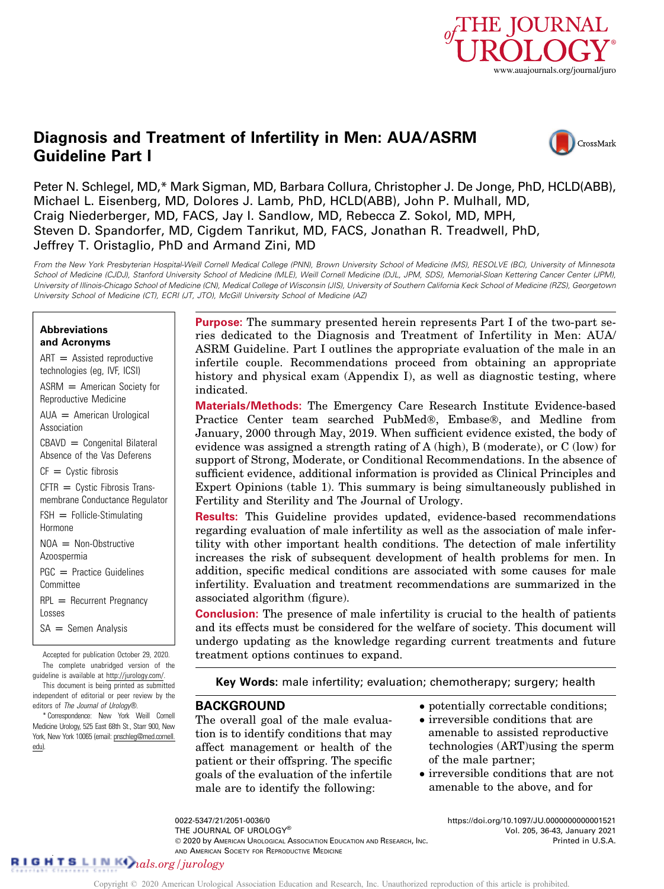

# Diagnosis and Treatment of Infertility in Men: AUA/ASRM Guideline Part I



Peter N. Schlegel, MD,\* Mark Sigman, MD, Barbara Collura, Christopher J. De Jonge, PhD, HCLD(ABB), Michael L. Eisenberg, MD, Dolores J. Lamb, PhD, HCLD(ABB), John P. Mulhall, MD, Craig Niederberger, MD, FACS, Jay I. Sandlow, MD, Rebecca Z. Sokol, MD, MPH, Steven D. Spandorfer, MD, Cigdem Tanrikut, MD, FACS, Jonathan R. Treadwell, PhD, Jeffrey T. Oristaglio, PhD and Armand Zini, MD

From the New York Presbyterian Hospital-Weill Cornell Medical College (PNN), Brown University School of Medicine (MS), RESOLVE (BC), University of Minnesota School of Medicine (CJDJ), Stanford University School of Medicine (MLE), Weill Cornell Medicine (DJL, JPM, SDS), Memorial-Sloan Kettering Cancer Center (JPM), University of Illinois-Chicago School of Medicine (CN), Medical College of Wisconsin (JIS), University of Southern California Keck School of Medicine (RZS), Georgetown University School of Medicine (CT), ECRI (JT, JTO), McGill University School of Medicine (AZ)

#### **Abbreviations** and Acronyms

 $ART =$  Assisted reproductive technologies (eg, IVF, ICSI)  $ASRM = American Society for$ Reproductive Medicine  $AUA =$  American Urological Association  $CBAVD = Congenital Bilateral$ Absence of the Vas Deferens  $CF = \text{Cystic fibrosis}$  $CFTR = Cystic Fibonacci Trans$ membrane Conductance Regulator  $FSH =$  Follicle-Stimulating Hormone  $NOA = Non-Obstructive$ Azoospermia  $PGC = Practice Guidelines$ **Committee**  $RPL$  = Recurrent Pregnancy Losses  $SA =$  Semen Analysis

Accepted for publication October 29, 2020. The complete unabridged version of the guideline is available at <http://jurology.com/>.

This document is being printed as submitted independent of editorial or peer review by the editors of *The Journal of Urology*®.<br>\* Correspondence: New York \

\* Correspondence: New York Weill Cornell Medicine Urology, 525 East 68th St., Starr 900, New York, New York 10065 (email: [pnschleg@med.cornell.](mailto:pnschleg@med.cornell.edu) [edu](mailto:pnschleg@med.cornell.edu)).

Purpose: The summary presented herein represents Part I of the two-part series dedicated to the Diagnosis and Treatment of Infertility in Men: AUA/ ASRM Guideline. Part I outlines the appropriate evaluation of the male in an infertile couple. Recommendations proceed from obtaining an appropriate history and physical exam (Appendix I), as well as diagnostic testing, where indicated.

Materials/Methods: The Emergency Care Research Institute Evidence-based Practice Center team searched PubMed®, Embase®, and Medline from January, 2000 through May, 2019. When sufficient evidence existed, the body of evidence was assigned a strength rating of A (high), B (moderate), or C (low) for support of Strong, Moderate, or Conditional Recommendations. In the absence of sufficient evidence, additional information is provided as Clinical Principles and Expert Opinions [\(table 1\)](#page-1-0). This summary is being simultaneously published in Fertility and Sterility and The Journal of Urology.

Results: This Guideline provides updated, evidence-based recommendations regarding evaluation of male infertility as well as the association of male infertility with other important health conditions. The detection of male infertility increases the risk of subsequent development of health problems for men. In addition, specific medical conditions are associated with some causes for male infertility. Evaluation and treatment recommendations are summarized in the associated algorithm ([figure](#page-2-0)).

**Conclusion:** The presence of male infertility is crucial to the health of patients and its effects must be considered for the welfare of society. This document will undergo updating as the knowledge regarding current treatments and future treatment options continues to expand.

Key Words: male infertility; evaluation; chemotherapy; surgery; health

# **BACKGROUND**

The overall goal of the male evaluation is to identify conditions that may affect management or health of the patient or their offspring. The specific goals of the evaluation of the infertile male are to identify the following:

- potentially correctable conditions;
- irreversible conditions that are amenable to assisted reproductive technologies (ART)using the sperm of the male partner;
- irreversible conditions that are not amenable to the above, and for

0022-5347/21/2051-0036/0 THE JOURNAL OF UROLOGY® 2020 by AMERICAN UROLOGICAL ASSOCIATION EDUCATION AND RESEARCH, INC. AND AMERICAN SOCIETY FOR REPRODUCTIVE MEDICINE

<https://doi.org/10.1097/JU.0000000000001521> Vol. 205, 36-43, January 2021 Printed in U.S.A.

# **RIGHTSLINKI**nals.org/jurology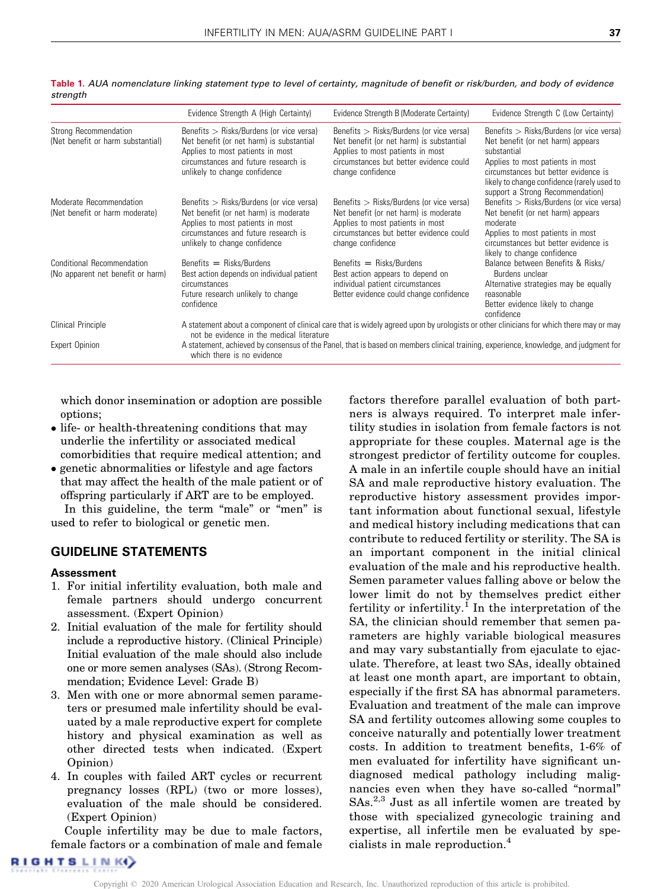|                                                                 | Evidence Strength A (High Certainty)                                                                                                                                                                | Evidence Strength B (Moderate Certainty)                                                                                                                                                   | Evidence Strength C (Low Certainty)                                                                                                                                                                                                                           |
|-----------------------------------------------------------------|-----------------------------------------------------------------------------------------------------------------------------------------------------------------------------------------------------|--------------------------------------------------------------------------------------------------------------------------------------------------------------------------------------------|---------------------------------------------------------------------------------------------------------------------------------------------------------------------------------------------------------------------------------------------------------------|
| Strong Recommendation<br>(Net benefit or harm substantial)      | Benefits $>$ Risks/Burdens (or vice versa)<br>Net benefit (or net harm) is substantial<br>Applies to most patients in most<br>circumstances and future research is<br>unlikely to change confidence | Benefits $>$ Risks/Burdens (or vice versa)<br>Net benefit (or net harm) is substantial<br>Applies to most patients in most<br>circumstances but better evidence could<br>change confidence | Benefits $>$ Risks/Burdens (or vice versa)<br>Net benefit (or net harm) appears<br>substantial<br>Applies to most patients in most<br>circumstances but better evidence is<br>likely to change confidence (rarely used to<br>support a Strong Recommendation) |
| Moderate Recommendation<br>(Net benefit or harm moderate)       | Benefits $>$ Risks/Burdens (or vice versa)<br>Net benefit (or net harm) is moderate<br>Applies to most patients in most<br>circumstances and future research is<br>unlikely to change confidence    | Benefits $>$ Risks/Burdens (or vice versa)<br>Net benefit (or net harm) is moderate<br>Applies to most patients in most<br>circumstances but better evidence could<br>change confidence    | Benefits $>$ Risks/Burdens (or vice versa)<br>Net benefit (or net harm) appears<br>moderate<br>Applies to most patients in most<br>circumstances but better evidence is<br>likely to change confidence                                                        |
| Conditional Recommendation<br>(No apparent net benefit or harm) | Benefits $=$ Risks/Burdens<br>Best action depends on individual patient<br>circumstances<br>Future research unlikely to change<br>confidence                                                        | Benefits $=$ Risks/Burdens<br>Best action appears to depend on<br>individual patient circumstances<br>Better evidence could change confidence                                              | Balance between Benefits & Risks/<br>Burdens unclear<br>Alternative strategies may be equally<br>reasonable<br>Better evidence likely to change<br>confidence                                                                                                 |
| Clinical Principle                                              | not be evidence in the medical literature                                                                                                                                                           | A statement about a component of clinical care that is widely agreed upon by urologists or other clinicians for which there may or may                                                     |                                                                                                                                                                                                                                                               |
| Expert Opinion                                                  | which there is no evidence                                                                                                                                                                          | A statement, achieved by consensus of the Panel, that is based on members clinical training, experience, knowledge, and judgment for                                                       |                                                                                                                                                                                                                                                               |

<span id="page-1-0"></span>Table 1. AUA nomenclature linking statement type to level of certainty, magnitude of benefit or risk/burden, and body of evidence strength

which donor insemination or adoption are possible options;

- life- or health-threatening conditions that may underlie the infertility or associated medical comorbidities that require medical attention; and
- genetic abnormalities or lifestyle and age factors that may affect the health of the male patient or of offspring particularly if ART are to be employed.

In this guideline, the term "male" or "men" is used to refer to biological or genetic men.

# GUIDELINE STATEMENTS

## **Assessment**

- 1. For initial infertility evaluation, both male and female partners should undergo concurrent assessment. (Expert Opinion)
- 2. Initial evaluation of the male for fertility should include a reproductive history. (Clinical Principle) Initial evaluation of the male should also include one or more semen analyses (SAs). (Strong Recommendation; Evidence Level: Grade B)
- 3. Men with one or more abnormal semen parameters or presumed male infertility should be evaluated by a male reproductive expert for complete history and physical examination as well as other directed tests when indicated. (Expert Opinion)
- 4. In couples with failed ART cycles or recurrent pregnancy losses (RPL) (two or more losses), evaluation of the male should be considered. (Expert Opinion)

Couple infertility may be due to male factors, female factors or a combination of male and female factors therefore parallel evaluation of both partners is always required. To interpret male infertility studies in isolation from female factors is not appropriate for these couples. Maternal age is the strongest predictor of fertility outcome for couples. A male in an infertile couple should have an initial SA and male reproductive history evaluation. The reproductive history assessment provides important information about functional sexual, lifestyle and medical history including medications that can contribute to reduced fertility or sterility. The SA is an important component in the initial clinical evaluation of the male and his reproductive health. Semen parameter values falling above or below the lower limit do not by themselves predict either fertility or infertility.<sup>[1](#page-6-0)</sup> In the interpretation of the SA, the clinician should remember that semen parameters are highly variable biological measures and may vary substantially from ejaculate to ejaculate. Therefore, at least two SAs, ideally obtained at least one month apart, are important to obtain, especially if the first SA has abnormal parameters. Evaluation and treatment of the male can improve SA and fertility outcomes allowing some couples to conceive naturally and potentially lower treatment costs. In addition to treatment benefits, 1-6% of men evaluated for infertility have significant undiagnosed medical pathology including malignancies even when they have so-called "normal"  $SAs.<sup>2,3</sup>$  Just as all infertile women are treated by those with specialized gynecologic training and expertise, all infertile men be evaluated by spe-cialists in male reproduction.<sup>[4](#page-7-0)</sup>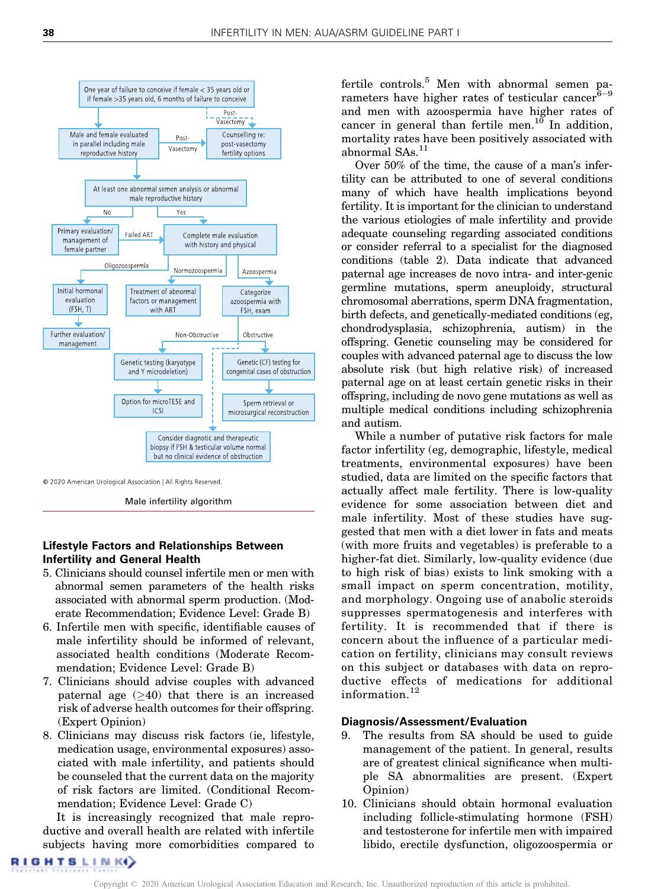<span id="page-2-0"></span>

Male infertility algorithm

# Lifestyle Factors and Relationships Between Infertility and General Health

- 5. Clinicians should counsel infertile men or men with abnormal semen parameters of the health risks associated with abnormal sperm production. (Moderate Recommendation; Evidence Level: Grade B)
- 6. Infertile men with specific, identifiable causes of male infertility should be informed of relevant, associated health conditions (Moderate Recommendation; Evidence Level: Grade B)
- 7. Clinicians should advise couples with advanced paternal age  $(\geq 40)$  that there is an increased risk of adverse health outcomes for their offspring. (Expert Opinion)
- 8. Clinicians may discuss risk factors (ie, lifestyle, medication usage, environmental exposures) associated with male infertility, and patients should be counseled that the current data on the majority of risk factors are limited. (Conditional Recommendation; Evidence Level: Grade C)

It is increasingly recognized that male reproductive and overall health are related with infertile subjects having more comorbidities compared to fertile controls.<sup>[5](#page-7-0)</sup> Men with abnormal semen parameters have higher rates of testicular cancer $6^{-9}$ and men with azoospermia have higher rates of cancer in general than fertile men.<sup>[10](#page-7-0)</sup> In addition, mortality rates have been positively associated with abnormal SAs.<sup>[11](#page-7-0)</sup>

Over 50% of the time, the cause of a man's infertility can be attributed to one of several conditions many of which have health implications beyond fertility. It is important for the clinician to understand the various etiologies of male infertility and provide adequate counseling regarding associated conditions or consider referral to a specialist for the diagnosed conditions ([table 2\)](#page-3-0). Data indicate that advanced paternal age increases de novo intra- and inter-genic germline mutations, sperm aneuploidy, structural chromosomal aberrations, sperm DNA fragmentation, birth defects, and genetically-mediated conditions (eg, chondrodysplasia, schizophrenia, autism) in the offspring. Genetic counseling may be considered for couples with advanced paternal age to discuss the low absolute risk (but high relative risk) of increased paternal age on at least certain genetic risks in their offspring, including de novo gene mutations as well as multiple medical conditions including schizophrenia and autism.

While a number of putative risk factors for male factor infertility (eg, demographic, lifestyle, medical treatments, environmental exposures) have been studied, data are limited on the specific factors that actually affect male fertility. There is low-quality evidence for some association between diet and male infertility. Most of these studies have suggested that men with a diet lower in fats and meats (with more fruits and vegetables) is preferable to a higher-fat diet. Similarly, low-quality evidence (due to high risk of bias) exists to link smoking with a small impact on sperm concentration, motility, and morphology. Ongoing use of anabolic steroids suppresses spermatogenesis and interferes with fertility. It is recommended that if there is concern about the influence of a particular medication on fertility, clinicians may consult reviews on this subject or databases with data on reproductive effects of medications for additional information.[12](#page-7-0)

#### Diagnosis/Assessment/Evaluation

- 9. The results from SA should be used to guide management of the patient. In general, results are of greatest clinical significance when multiple SA abnormalities are present. (Expert Opinion)
- 10. Clinicians should obtain hormonal evaluation including follicle-stimulating hormone (FSH) and testosterone for infertile men with impaired libido, erectile dysfunction, oligozoospermia or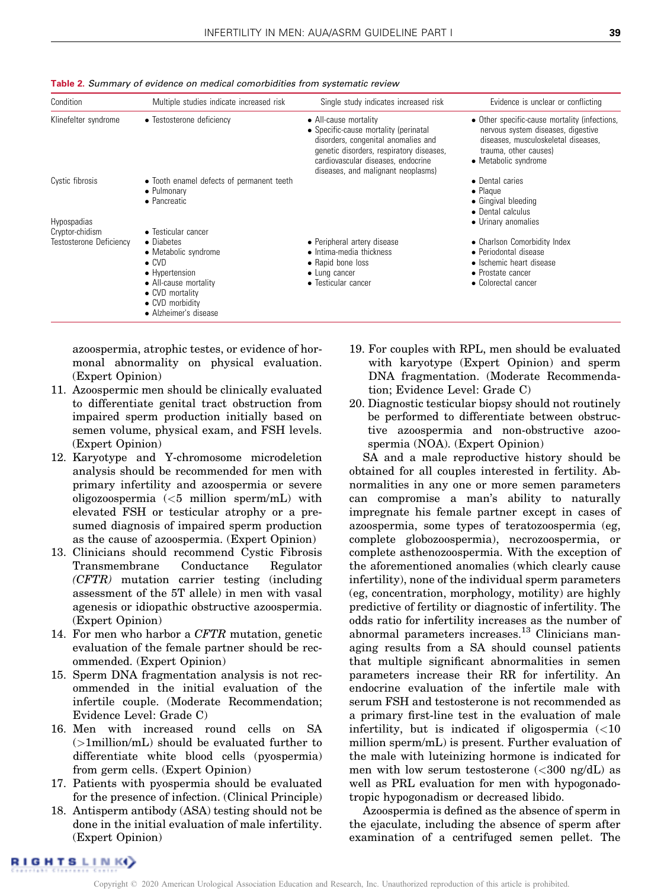| Condition                                  | Multiple studies indicate increased risk                                                                                                        | Single study indicates increased risk                                                                                                                                                                                         | Evidence is unclear or conflicting                                                                                                                                          |
|--------------------------------------------|-------------------------------------------------------------------------------------------------------------------------------------------------|-------------------------------------------------------------------------------------------------------------------------------------------------------------------------------------------------------------------------------|-----------------------------------------------------------------------------------------------------------------------------------------------------------------------------|
| Klinefelter syndrome                       | • Testosterone deficiency                                                                                                                       | • All-cause mortality<br>• Specific-cause mortality (perinatal<br>disorders, congenital anomalies and<br>genetic disorders, respiratory diseases,<br>cardiovascular diseases, endocrine<br>diseases, and malignant neoplasms) | • Other specific-cause mortality (infections,<br>nervous system diseases, digestive<br>diseases, musculoskeletal diseases,<br>trauma, other causes)<br>• Metabolic syndrome |
| Cystic fibrosis                            | • Tooth enamel defects of permanent teeth<br>• Pulmonary<br>• Pancreatic                                                                        |                                                                                                                                                                                                                               | • Dental caries<br>$\bullet$ Plaque<br>• Gingival bleeding<br>• Dental calculus                                                                                             |
| <b>Hypospadias</b>                         |                                                                                                                                                 |                                                                                                                                                                                                                               | • Urinary anomalies                                                                                                                                                         |
| Cryptor-chidism<br>Testosterone Deficiency | • Testicular cancer<br>• Diabetes                                                                                                               | • Peripheral artery disease                                                                                                                                                                                                   | • Charlson Comorbidity Index                                                                                                                                                |
|                                            | • Metabolic syndrome<br>$\bullet$ CVD<br>• Hypertension<br>• All-cause mortality<br>• CVD mortality<br>• CVD morbidity<br>• Alzheimer's disease | • Intima-media thickness<br>• Rapid bone loss<br>$\bullet$ Lung cancer<br>• Testicular cancer                                                                                                                                 | • Periodontal disease<br>• Ischemic heart disease<br>• Prostate cancer<br>• Colorectal cancer                                                                               |

<span id="page-3-0"></span>Table 2. Summary of evidence on medical comorbidities from systematic review

azoospermia, atrophic testes, or evidence of hormonal abnormality on physical evaluation. (Expert Opinion)

- 11. Azoospermic men should be clinically evaluated to differentiate genital tract obstruction from impaired sperm production initially based on semen volume, physical exam, and FSH levels. (Expert Opinion)
- 12. Karyotype and Y-chromosome microdeletion analysis should be recommended for men with primary infertility and azoospermia or severe oligozoospermia  $\langle$  5 million sperm/mL) with elevated FSH or testicular atrophy or a presumed diagnosis of impaired sperm production as the cause of azoospermia. (Expert Opinion)
- 13. Clinicians should recommend Cystic Fibrosis Transmembrane Conductance Regulator (CFTR) mutation carrier testing (including assessment of the 5T allele) in men with vasal agenesis or idiopathic obstructive azoospermia. (Expert Opinion)
- 14. For men who harbor a CFTR mutation, genetic evaluation of the female partner should be recommended. (Expert Opinion)
- 15. Sperm DNA fragmentation analysis is not recommended in the initial evaluation of the infertile couple. (Moderate Recommendation; Evidence Level: Grade C)
- 16. Men with increased round cells on SA (>1million/mL) should be evaluated further to differentiate white blood cells (pyospermia) from germ cells. (Expert Opinion)
- 17. Patients with pyospermia should be evaluated for the presence of infection. (Clinical Principle)
- 18. Antisperm antibody (ASA) testing should not be done in the initial evaluation of male infertility. (Expert Opinion)
- 19. For couples with RPL, men should be evaluated with karyotype (Expert Opinion) and sperm DNA fragmentation. (Moderate Recommendation; Evidence Level: Grade C)
- 20. Diagnostic testicular biopsy should not routinely be performed to differentiate between obstructive azoospermia and non-obstructive azoospermia (NOA). (Expert Opinion)

SA and a male reproductive history should be obtained for all couples interested in fertility. Abnormalities in any one or more semen parameters can compromise a man's ability to naturally impregnate his female partner except in cases of azoospermia, some types of teratozoospermia (eg, complete globozoospermia), necrozoospermia, or complete asthenozoospermia. With the exception of the aforementioned anomalies (which clearly cause infertility), none of the individual sperm parameters (eg, concentration, morphology, motility) are highly predictive of fertility or diagnostic of infertility. The odds ratio for infertility increases as the number of abnormal parameters increases.<sup>[13](#page-7-0)</sup> Clinicians managing results from a SA should counsel patients that multiple significant abnormalities in semen parameters increase their RR for infertility. An endocrine evaluation of the infertile male with serum FSH and testosterone is not recommended as a primary first-line test in the evaluation of male infertility, but is indicated if oligospermia  $\left( < 10 \right)$ million sperm/mL) is present. Further evaluation of the male with luteinizing hormone is indicated for men with low serum testosterone  $\langle$  <300 ng/dL) as well as PRL evaluation for men with hypogonadotropic hypogonadism or decreased libido.

Azoospermia is defined as the absence of sperm in the ejaculate, including the absence of sperm after examination of a centrifuged semen pellet. The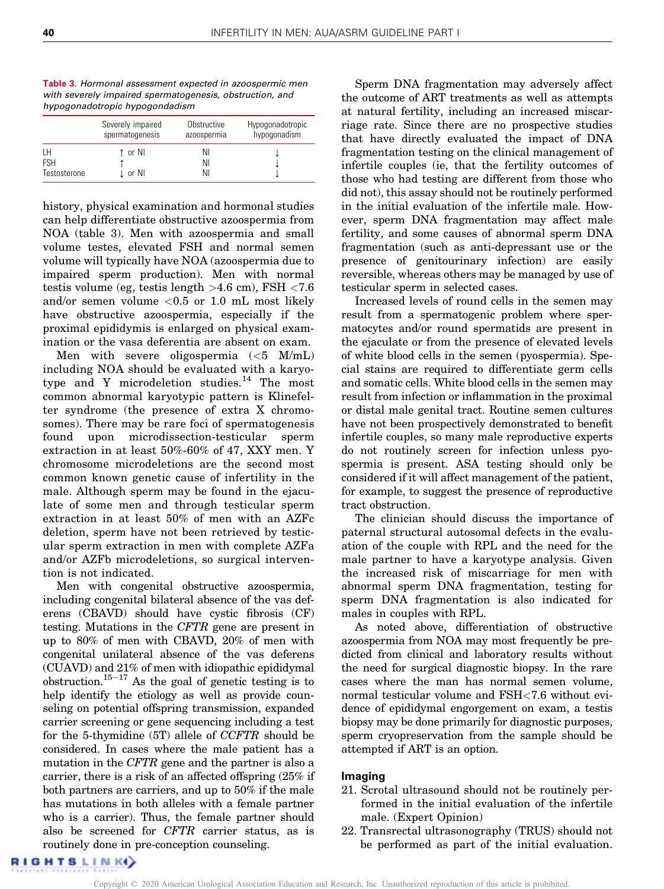Table 3. Hormonal assessment expected in azoospermic men with severely impaired spermatogenesis, obstruction, and hypogonadotropic hypogondadism

|                                  | Severely impaired    | Obstructive    | Hypogonadotropic |
|----------------------------------|----------------------|----------------|------------------|
|                                  | spermatogenesis      | azoospermia    | hypogonadism     |
| LН<br><b>FSH</b><br>Testosterone | ↑ or NI<br>.l. or NI | NI<br>NI<br>ΝI |                  |

history, physical examination and hormonal studies can help differentiate obstructive azoospermia from NOA (table 3). Men with azoospermia and small volume testes, elevated FSH and normal semen volume will typically have NOA (azoospermia due to impaired sperm production). Men with normal testis volume (eg, testis length  $>4.6$  cm), FSH  $< 7.6$ and/or semen volume  $< 0.5$  or 1.0 mL most likely have obstructive azoospermia, especially if the proximal epididymis is enlarged on physical examination or the vasa deferentia are absent on exam.

Men with severe oligospermia  $(<5$  M/mL) including NOA should be evaluated with a karyo-type and Y microdeletion studies.<sup>[14](#page-7-0)</sup> The most common abnormal karyotypic pattern is Klinefelter syndrome (the presence of extra X chromosomes). There may be rare foci of spermatogenesis found upon microdissection-testicular sperm extraction in at least 50%-60% of 47, XXY men. Y chromosome microdeletions are the second most common known genetic cause of infertility in the male. Although sperm may be found in the ejaculate of some men and through testicular sperm extraction in at least 50% of men with an AZFc deletion, sperm have not been retrieved by testicular sperm extraction in men with complete AZFa and/or AZFb microdeletions, so surgical intervention is not indicated.

Men with congenital obstructive azoospermia, including congenital bilateral absence of the vas deferens (CBAVD) should have cystic fibrosis (CF) testing. Mutations in the CFTR gene are present in up to 80% of men with CBAVD, 20% of men with congenital unilateral absence of the vas deferens (CUAVD) and 21% of men with idiopathic epididymal obstruction.<sup>15-17</sup> As the goal of genetic testing is to help identify the etiology as well as provide counseling on potential offspring transmission, expanded carrier screening or gene sequencing including a test for the 5-thymidine (5T) allele of CCFTR should be considered. In cases where the male patient has a mutation in the CFTR gene and the partner is also a carrier, there is a risk of an affected offspring (25% if both partners are carriers, and up to 50% if the male has mutations in both alleles with a female partner who is a carrier). Thus, the female partner should also be screened for CFTR carrier status, as is routinely done in pre-conception counseling.

Sperm DNA fragmentation may adversely affect the outcome of ART treatments as well as attempts at natural fertility, including an increased miscarriage rate. Since there are no prospective studies that have directly evaluated the impact of DNA fragmentation testing on the clinical management of infertile couples (ie, that the fertility outcomes of those who had testing are different from those who did not), this assay should not be routinely performed in the initial evaluation of the infertile male. However, sperm DNA fragmentation may affect male fertility, and some causes of abnormal sperm DNA fragmentation (such as anti-depressant use or the presence of genitourinary infection) are easily reversible, whereas others may be managed by use of testicular sperm in selected cases.

Increased levels of round cells in the semen may result from a spermatogenic problem where spermatocytes and/or round spermatids are present in the ejaculate or from the presence of elevated levels of white blood cells in the semen (pyospermia). Special stains are required to differentiate germ cells and somatic cells. White blood cells in the semen may result from infection or inflammation in the proximal or distal male genital tract. Routine semen cultures have not been prospectively demonstrated to benefit infertile couples, so many male reproductive experts do not routinely screen for infection unless pyospermia is present. ASA testing should only be considered if it will affect management of the patient, for example, to suggest the presence of reproductive tract obstruction.

The clinician should discuss the importance of paternal structural autosomal defects in the evaluation of the couple with RPL and the need for the male partner to have a karyotype analysis. Given the increased risk of miscarriage for men with abnormal sperm DNA fragmentation, testing for sperm DNA fragmentation is also indicated for males in couples with RPL.

As noted above, differentiation of obstructive azoospermia from NOA may most frequently be predicted from clinical and laboratory results without the need for surgical diagnostic biopsy. In the rare cases where the man has normal semen volume, normal testicular volume and FSH<7.6 without evidence of epididymal engorgement on exam, a testis biopsy may be done primarily for diagnostic purposes, sperm cryopreservation from the sample should be attempted if ART is an option.

#### **Imaging**

- 21. Scrotal ultrasound should not be routinely performed in the initial evaluation of the infertile male. (Expert Opinion)
- 22. Transrectal ultrasonography (TRUS) should not be performed as part of the initial evaluation.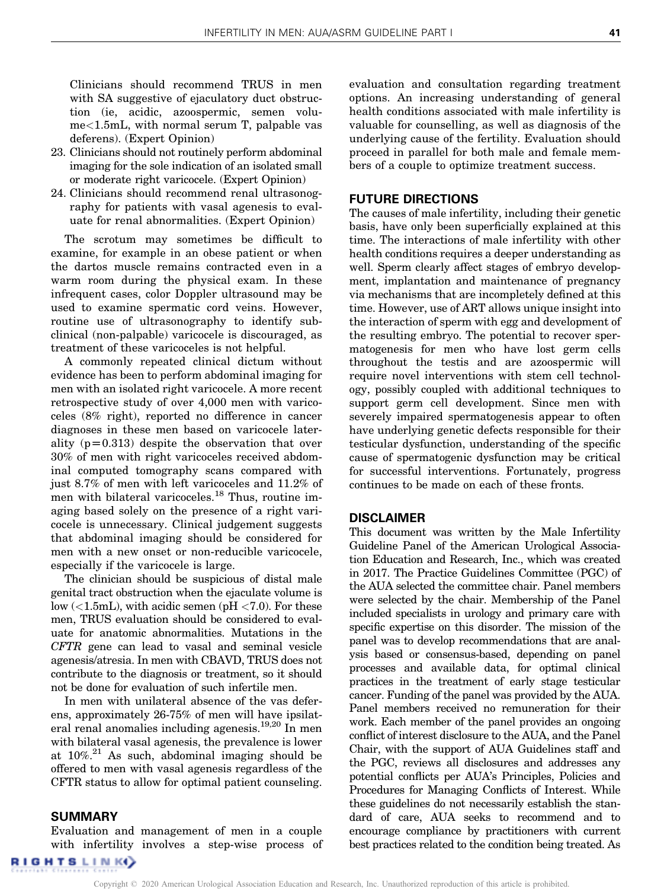Clinicians should recommend TRUS in men with SA suggestive of ejaculatory duct obstruction (ie, acidic, azoospermic, semen volume<1.5mL, with normal serum T, palpable vas deferens). (Expert Opinion)

- 23. Clinicians should not routinely perform abdominal imaging for the sole indication of an isolated small or moderate right varicocele. (Expert Opinion)
- 24. Clinicians should recommend renal ultrasonography for patients with vasal agenesis to evaluate for renal abnormalities. (Expert Opinion)

The scrotum may sometimes be difficult to examine, for example in an obese patient or when the dartos muscle remains contracted even in a warm room during the physical exam. In these infrequent cases, color Doppler ultrasound may be used to examine spermatic cord veins. However, routine use of ultrasonography to identify subclinical (non-palpable) varicocele is discouraged, as treatment of these varicoceles is not helpful.

A commonly repeated clinical dictum without evidence has been to perform abdominal imaging for men with an isolated right varicocele. A more recent retrospective study of over 4,000 men with varicoceles (8% right), reported no difference in cancer diagnoses in these men based on varicocele laterality  $(p=0.313)$  despite the observation that over 30% of men with right varicoceles received abdominal computed tomography scans compared with just 8.7% of men with left varicoceles and 11.2% of men with bilateral varicoceles.<sup>[18](#page-7-0)</sup> Thus, routine imaging based solely on the presence of a right varicocele is unnecessary. Clinical judgement suggests that abdominal imaging should be considered for men with a new onset or non-reducible varicocele, especially if the varicocele is large.

The clinician should be suspicious of distal male genital tract obstruction when the ejaculate volume is low  $\left($  < 1.5mL), with acidic semen (pH  $\right)$  < 7.0). For these men, TRUS evaluation should be considered to evaluate for anatomic abnormalities. Mutations in the CFTR gene can lead to vasal and seminal vesicle agenesis/atresia. In men with CBAVD, TRUS does not contribute to the diagnosis or treatment, so it should not be done for evaluation of such infertile men.

In men with unilateral absence of the vas deferens, approximately 26-75% of men will have ipsilateral renal anomalies including agenesis.<sup>19,20</sup> In men with bilateral vasal agenesis, the prevalence is lower at  $10\%$ <sup>21</sup> As such, abdominal imaging should be offered to men with vasal agenesis regardless of the CFTR status to allow for optimal patient counseling.

### **SUMMARY**

**RIGHTSLINKO** 

Evaluation and management of men in a couple with infertility involves a step-wise process of

evaluation and consultation regarding treatment options. An increasing understanding of general health conditions associated with male infertility is valuable for counselling, as well as diagnosis of the underlying cause of the fertility. Evaluation should proceed in parallel for both male and female members of a couple to optimize treatment success.

## FUTURE DIRECTIONS

The causes of male infertility, including their genetic basis, have only been superficially explained at this time. The interactions of male infertility with other health conditions requires a deeper understanding as well. Sperm clearly affect stages of embryo development, implantation and maintenance of pregnancy via mechanisms that are incompletely defined at this time. However, use of ART allows unique insight into the interaction of sperm with egg and development of the resulting embryo. The potential to recover spermatogenesis for men who have lost germ cells throughout the testis and are azoospermic will require novel interventions with stem cell technology, possibly coupled with additional techniques to support germ cell development. Since men with severely impaired spermatogenesis appear to often have underlying genetic defects responsible for their testicular dysfunction, understanding of the specific cause of spermatogenic dysfunction may be critical for successful interventions. Fortunately, progress continues to be made on each of these fronts.

#### DISCLAIMER

This document was written by the Male Infertility Guideline Panel of the American Urological Association Education and Research, Inc., which was created in 2017. The Practice Guidelines Committee (PGC) of the AUA selected the committee chair. Panel members were selected by the chair. Membership of the Panel included specialists in urology and primary care with specific expertise on this disorder. The mission of the panel was to develop recommendations that are analysis based or consensus-based, depending on panel processes and available data, for optimal clinical practices in the treatment of early stage testicular cancer. Funding of the panel was provided by the AUA. Panel members received no remuneration for their work. Each member of the panel provides an ongoing conflict of interest disclosure to the AUA, and the Panel Chair, with the support of AUA Guidelines staff and the PGC, reviews all disclosures and addresses any potential conflicts per AUA's Principles, Policies and Procedures for Managing Conflicts of Interest. While these guidelines do not necessarily establish the standard of care, AUA seeks to recommend and to encourage compliance by practitioners with current best practices related to the condition being treated. As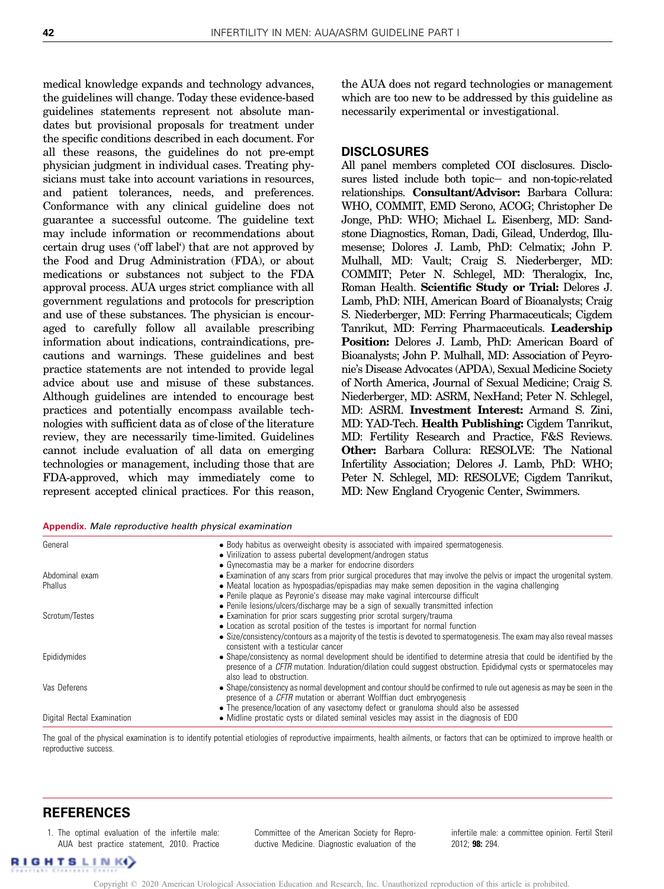<span id="page-6-0"></span>medical knowledge expands and technology advances, the guidelines will change. Today these evidence-based guidelines statements represent not absolute mandates but provisional proposals for treatment under the specific conditions described in each document. For all these reasons, the guidelines do not pre-empt physician judgment in individual cases. Treating physicians must take into account variations in resources, and patient tolerances, needs, and preferences. Conformance with any clinical guideline does not guarantee a successful outcome. The guideline text may include information or recommendations about certain drug uses ('off label') that are not approved by the Food and Drug Administration (FDA), or about medications or substances not subject to the FDA approval process. AUA urges strict compliance with all government regulations and protocols for prescription and use of these substances. The physician is encouraged to carefully follow all available prescribing information about indications, contraindications, precautions and warnings. These guidelines and best practice statements are not intended to provide legal advice about use and misuse of these substances. Although guidelines are intended to encourage best practices and potentially encompass available technologies with sufficient data as of close of the literature review, they are necessarily time-limited. Guidelines cannot include evaluation of all data on emerging technologies or management, including those that are FDA-approved, which may immediately come to represent accepted clinical practices. For this reason,

|  |  |  |  |  | Appendix. Male reproductive health physical examination |
|--|--|--|--|--|---------------------------------------------------------|
|--|--|--|--|--|---------------------------------------------------------|

the AUA does not regard technologies or management which are too new to be addressed by this guideline as necessarily experimental or investigational.

### DISCLOSURES

All panel members completed COI disclosures. Disclosures listed include both topic- and non-topic-related relationships. Consultant/Advisor: Barbara Collura: WHO, COMMIT, EMD Serono, ACOG; Christopher De Jonge, PhD: WHO; Michael L. Eisenberg, MD: Sandstone Diagnostics, Roman, Dadi, Gilead, Underdog, Illumesense; Dolores J. Lamb, PhD: Celmatix; John P. Mulhall, MD: Vault; Craig S. Niederberger, MD: COMMIT; Peter N. Schlegel, MD: Theralogix, Inc, Roman Health. Scientific Study or Trial: Delores J. Lamb, PhD: NIH, American Board of Bioanalysts; Craig S. Niederberger, MD: Ferring Pharmaceuticals; Cigdem Tanrikut, MD: Ferring Pharmaceuticals. Leadership Position: Delores J. Lamb, PhD: American Board of Bioanalysts; John P. Mulhall, MD: Association of Peyronie's Disease Advocates (APDA), Sexual Medicine Society of North America, Journal of Sexual Medicine; Craig S. Niederberger, MD: ASRM, NexHand; Peter N. Schlegel, MD: ASRM. Investment Interest: Armand S. Zini, MD: YAD-Tech. Health Publishing: Cigdem Tanrikut, MD: Fertility Research and Practice, F&S Reviews. Other: Barbara Collura: RESOLVE: The National Infertility Association; Delores J. Lamb, PhD: WHO; Peter N. Schlegel, MD: RESOLVE; Cigdem Tanrikut, MD: New England Cryogenic Center, Swimmers.

| General                    | • Body habitus as overweight obesity is associated with impaired spermatogenesis.<br>• Virilization to assess pubertal development/androgen status                                                                                                                                  |
|----------------------------|-------------------------------------------------------------------------------------------------------------------------------------------------------------------------------------------------------------------------------------------------------------------------------------|
|                            | • Gynecomastia may be a marker for endocrine disorders                                                                                                                                                                                                                              |
| Abdominal exam             | • Examination of any scars from prior surgical procedures that may involve the pelvis or impact the urogenital system.                                                                                                                                                              |
| Phallus                    | • Meatal location as hypospadias/epispadias may make semen deposition in the vagina challenging                                                                                                                                                                                     |
|                            | • Penile plaque as Peyronie's disease may make vaginal intercourse difficult                                                                                                                                                                                                        |
|                            | • Penile lesions/ulcers/discharge may be a sign of sexually transmitted infection                                                                                                                                                                                                   |
| Scrotum/Testes             | • Examination for prior scars suggesting prior scrotal surgery/trauma                                                                                                                                                                                                               |
|                            | • Location as scrotal position of the testes is important for normal function                                                                                                                                                                                                       |
|                            | • Size/consistency/contours as a majority of the testis is devoted to spermatogenesis. The exam may also reveal masses<br>consistent with a testicular cancer                                                                                                                       |
| Epididymides               | • Shape/consistency as normal development should be identified to determine atresia that could be identified by the<br>presence of a CFTR mutation. Induration/dilation could suggest obstruction. Epididymal cysts or spermatoceles may<br>also lead to obstruction.               |
| Vas Deferens               | • Shape/consistency as normal development and contour should be confirmed to rule out agenesis as may be seen in the<br>presence of a CFTR mutation or aberrant Wolffian duct embryogenesis<br>• The presence/location of any vasectomy defect or granuloma should also be assessed |
| Digital Rectal Examination | • Midline prostatic cysts or dilated seminal vesicles may assist in the diagnosis of EDO                                                                                                                                                                                            |
|                            |                                                                                                                                                                                                                                                                                     |

The goal of the physical examination is to identify potential etiologies of reproductive impairments, health ailments, or factors that can be optimized to improve health or reproductive success.

# REFERENCES

1. The optimal evaluation of the infertile male: AUA best practice statement, 2010. Practice Committee of the American Society for Reproductive Medicine. Diagnostic evaluation of the infertile male: a committee opinion. Fertil Steril 2012; 98: 294.

RIGHTSLINK()

Copyright © 2020 American Urological Association Education and Research, Inc. Unauthorized reproduction of this article is prohibited.